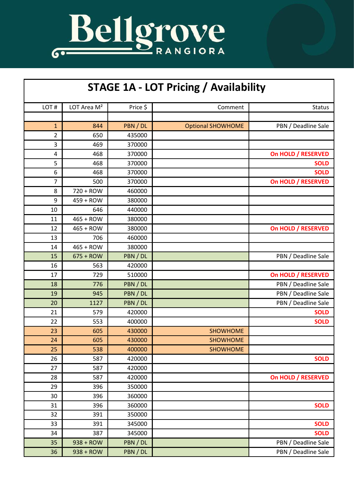

| <b>STAGE 1A - LOT Pricing / Availability</b> |                         |          |                          |                     |  |  |
|----------------------------------------------|-------------------------|----------|--------------------------|---------------------|--|--|
| LOT#                                         | LOT Area M <sup>2</sup> | Price \$ | Comment                  | <b>Status</b>       |  |  |
|                                              |                         |          |                          |                     |  |  |
| $\mathbf{1}$                                 | 844                     | PBN / DL | <b>Optional SHOWHOME</b> | PBN / Deadline Sale |  |  |
| 2                                            | 650                     | 435000   |                          |                     |  |  |
| 3                                            | 469                     | 370000   |                          |                     |  |  |
| 4                                            | 468                     | 370000   |                          | On HOLD / RESERVED  |  |  |
| 5                                            | 468                     | 370000   |                          | <b>SOLD</b>         |  |  |
| 6                                            | 468                     | 370000   |                          | <b>SOLD</b>         |  |  |
| 7                                            | 500                     | 370000   |                          | On HOLD / RESERVED  |  |  |
| 8                                            | 720 + ROW               | 460000   |                          |                     |  |  |
| 9                                            | 459 + ROW               | 380000   |                          |                     |  |  |
| 10                                           | 646                     | 440000   |                          |                     |  |  |
| 11                                           | 465 + ROW               | 380000   |                          |                     |  |  |
| 12                                           | 465 + ROW               | 380000   |                          | On HOLD / RESERVED  |  |  |
| 13                                           | 706                     | 460000   |                          |                     |  |  |
| 14                                           | 465 + ROW               | 380000   |                          |                     |  |  |
| 15                                           | $675 + ROW$             | PBN / DL |                          | PBN / Deadline Sale |  |  |
| 16                                           | 563                     | 420000   |                          |                     |  |  |
| 17                                           | 729                     | 510000   |                          | On HOLD / RESERVED  |  |  |
| 18                                           | 776                     | PBN / DL |                          | PBN / Deadline Sale |  |  |
| 19                                           | 945                     | PBN / DL |                          | PBN / Deadline Sale |  |  |
| 20                                           | 1127                    | PBN / DL |                          | PBN / Deadline Sale |  |  |
| 21                                           | 579                     | 420000   |                          | <b>SOLD</b>         |  |  |
| 22                                           | 553                     | 400000   |                          | <b>SOLD</b>         |  |  |
| 23                                           | 605                     | 430000   | <b>SHOWHOME</b>          |                     |  |  |
| 24                                           | 605                     | 430000   | <b>SHOWHOME</b>          |                     |  |  |
| 25                                           | 538                     | 400000   | <b>SHOWHOME</b>          |                     |  |  |
| 26                                           | 587                     | 420000   |                          | <b>SOLD</b>         |  |  |
| 27                                           | 587                     | 420000   |                          |                     |  |  |
| 28                                           | 587                     | 420000   |                          | On HOLD / RESERVED  |  |  |
| 29                                           | 396                     | 350000   |                          |                     |  |  |
| 30                                           | 396                     | 360000   |                          |                     |  |  |
| 31                                           | 396                     | 360000   |                          | <b>SOLD</b>         |  |  |
| 32                                           | 391                     | 350000   |                          |                     |  |  |
| 33                                           | 391                     | 345000   |                          | <b>SOLD</b>         |  |  |
| 34                                           | 387                     | 345000   |                          | <b>SOLD</b>         |  |  |
| 35                                           | 938 + ROW               | PBN / DL |                          | PBN / Deadline Sale |  |  |
| 36                                           | 938 + ROW               | PBN / DL |                          | PBN / Deadline Sale |  |  |